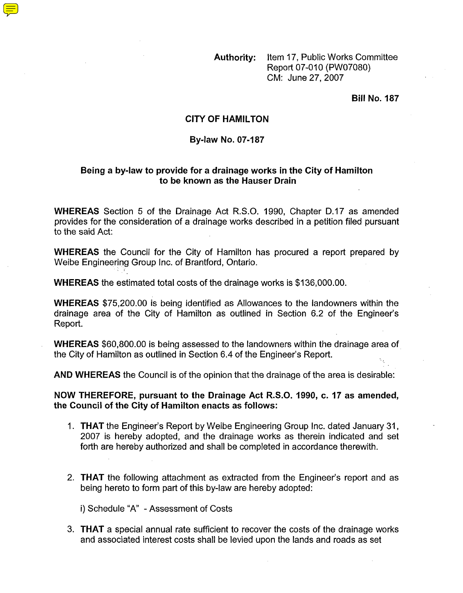**Authority:** Item 17, Public Works Committee Report 07-010 (PW07080) CM: June 27,2007

**Bill No. 187** 

## **CITY OF HAMILTON**

## **By-law No. 07-187**

## **Being a by-law to provide for a drainage works in the City of Hamilton to be known as the Hauser Drain**

**WHEREAS** Section 5 of the Drainage Act R.S.O. 1990, Chapter D.17 as amended provides for the consideration of a drainage works described in a petition filed pursuant to the said Act:

**WHEREAS** the Council for the City of Hamilton has procured a report prepared by Weibe Engineering Group Inc. of Brantford, Ontario.

**WHEREAS** the estimated total costs of the drainage works is \$136,000.00.

**WHEREAS** \$75,200.00 is being identified as Allowances to the landowners within the drainage area of the City of Hamilton as outlined in Section 6.2 of the Engineer's Report.

**WHEREAS** \$60,800.00 is being assessed to the landowners within the drainage area of the City of Hamilton as outlined in Section 6.4 of the Engineer's Report.

**AND WHEREAS** the Council is of the opinion that the drainage of the area is desirable:

**NOW THEREFORE, pursuant to the Drainage Act R.S.O. 1990, c. 17 as amended, the Council of the City of Hamilton enacts as follows:** 

- 1. **THAT** the Engineer's Report by Weibe Engineering Group Inc. dated January 31, 2007 is hereby adopted, and the drainage works as therein indicated and set forth are hereby authorized and shall be completed in accordance therewith.
- 2. **THAT** the following attachment as extracted from the Engineer's report and as being hereto to form part of this by-law are hereby adopted:

i) Schedule "A" - Assessment of Costs

3. **THAT** a special annual rate sufficient to recover the costs of the drainage works and associated interest costs shall be levied upon the lands and roads as set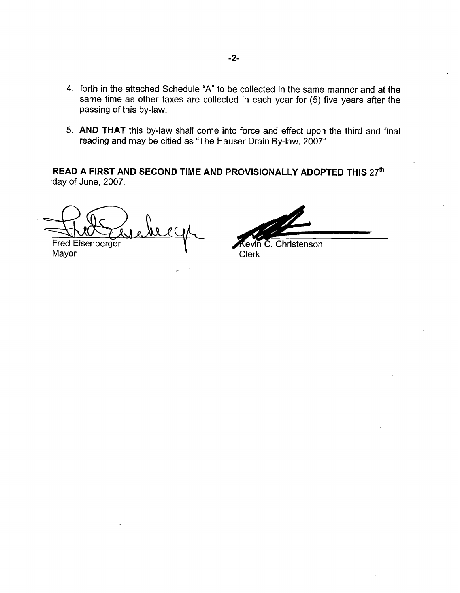- 4. forth in the attached Schedule "A" to be collected in the same manner and at the same time as other taxes are collected in each year for (5) five years after the passing of this by-law.
- 5. **AND THAT** this by-law shall come into force and effect upon the third and final reading and may be citied as "The Hauser Drain By-law, 2007"

**READ A FIRST AND SECOND TIME AND PROVISIONALLY ADOPTED THIS 27th** day of June, 2007.

Fred Eisenberger

Mayor **Network** Clerk

2-<br>
e collected in the same manner and at the<br>
d in each year for (5) five years after the<br>
b force and effect upon the third and final<br>
ser Drain By-law, 2007"<br>
ROVISIONALLY ADOPTED THIS  $27^{\text{th}}$ <br>
Covin C. Christenson<br>